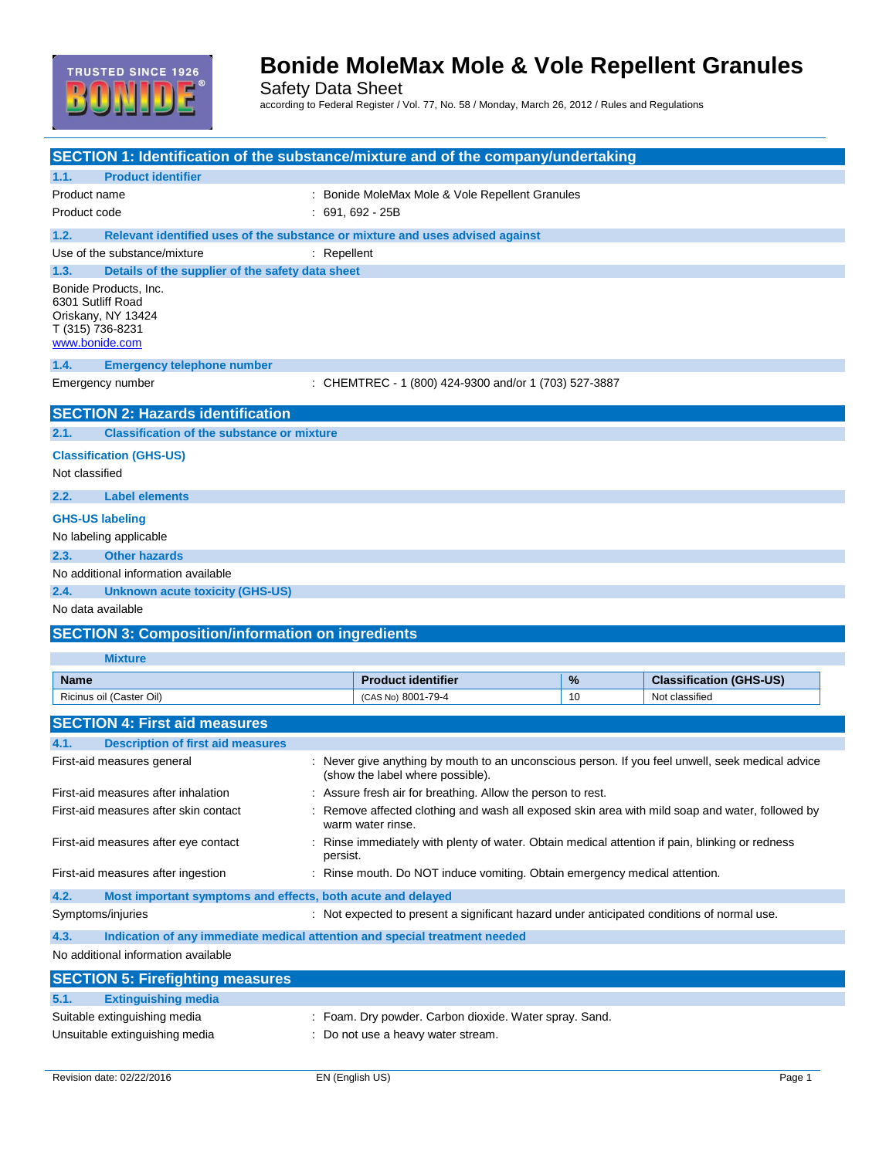

Safety Data Sheet according to Federal Register / Vol. 77, No. 58 / Monday, March 26, 2012 / Rules and Regulations

| SECTION 1: Identification of the substance/mixture and of the company/undertaking |                                                                                                  |    |                                |
|-----------------------------------------------------------------------------------|--------------------------------------------------------------------------------------------------|----|--------------------------------|
| <b>Product identifier</b><br>1.1.                                                 |                                                                                                  |    |                                |
| Product name                                                                      | : Bonide MoleMax Mole & Vole Repellent Granules                                                  |    |                                |
| Product code                                                                      | $: 691.692 - 25B$                                                                                |    |                                |
| 1.2.                                                                              | Relevant identified uses of the substance or mixture and uses advised against                    |    |                                |
| Use of the substance/mixture                                                      | $:$ Repellent                                                                                    |    |                                |
| 1.3.<br>Details of the supplier of the safety data sheet                          |                                                                                                  |    |                                |
| Bonide Products, Inc.                                                             |                                                                                                  |    |                                |
| 6301 Sutliff Road                                                                 |                                                                                                  |    |                                |
| Oriskany, NY 13424<br>T (315) 736-8231                                            |                                                                                                  |    |                                |
| www.bonide.com                                                                    |                                                                                                  |    |                                |
| 1.4.<br><b>Emergency telephone number</b>                                         |                                                                                                  |    |                                |
| Emergency number                                                                  | : CHEMTREC - 1 (800) 424-9300 and/or 1 (703) 527-3887                                            |    |                                |
|                                                                                   |                                                                                                  |    |                                |
| <b>SECTION 2: Hazards identification</b>                                          |                                                                                                  |    |                                |
| 2.1.<br><b>Classification of the substance or mixture</b>                         |                                                                                                  |    |                                |
| <b>Classification (GHS-US)</b>                                                    |                                                                                                  |    |                                |
| Not classified                                                                    |                                                                                                  |    |                                |
|                                                                                   |                                                                                                  |    |                                |
| 2.2.<br><b>Label elements</b>                                                     |                                                                                                  |    |                                |
| <b>GHS-US labeling</b>                                                            |                                                                                                  |    |                                |
| No labeling applicable                                                            |                                                                                                  |    |                                |
| 2.3.<br><b>Other hazards</b>                                                      |                                                                                                  |    |                                |
| No additional information available                                               |                                                                                                  |    |                                |
| 2.4.<br><b>Unknown acute toxicity (GHS-US)</b>                                    |                                                                                                  |    |                                |
| No data available                                                                 |                                                                                                  |    |                                |
| <b>SECTION 3: Composition/information on ingredients</b>                          |                                                                                                  |    |                                |
|                                                                                   |                                                                                                  |    |                                |
| <b>Mixture</b>                                                                    |                                                                                                  |    |                                |
| <b>Name</b>                                                                       | <b>Product identifier</b>                                                                        | %  | <b>Classification (GHS-US)</b> |
| Ricinus oil (Caster Oil)                                                          | (CAS No) 8001-79-4                                                                               | 10 | Not classified                 |
| <b>SECTION 4: First aid measures</b>                                              |                                                                                                  |    |                                |
| 4.1.<br><b>Description of first aid measures</b>                                  |                                                                                                  |    |                                |
| First-aid measures general                                                        | : Never give anything by mouth to an unconscious person. If you feel unwell, seek medical advice |    |                                |
|                                                                                   | (show the label where possible).                                                                 |    |                                |
| First-aid measures after inhalation                                               | : Assure fresh air for breathing. Allow the person to rest.                                      |    |                                |
| First-aid measures after skin contact                                             | : Remove affected clothing and wash all exposed skin area with mild soap and water, followed by  |    |                                |
|                                                                                   | warm water rinse.                                                                                |    |                                |
| First-aid measures after eye contact                                              | Rinse immediately with plenty of water. Obtain medical attention if pain, blinking or redness    |    |                                |
|                                                                                   | persist.                                                                                         |    |                                |
| First-aid measures after ingestion                                                | Rinse mouth. Do NOT induce vomiting. Obtain emergency medical attention.                         |    |                                |
| 4.2.<br>Most important symptoms and effects, both acute and delayed               |                                                                                                  |    |                                |
| Symptoms/injuries                                                                 | : Not expected to present a significant hazard under anticipated conditions of normal use.       |    |                                |
| 4.3.                                                                              | Indication of any immediate medical attention and special treatment needed                       |    |                                |
| No additional information available                                               |                                                                                                  |    |                                |
|                                                                                   |                                                                                                  |    |                                |
| <b>SECTION 5: Firefighting measures</b>                                           |                                                                                                  |    |                                |
| <b>Extinguishing media</b><br>5.1.                                                |                                                                                                  |    |                                |
| Suitable extinguishing media                                                      | : Foam. Dry powder. Carbon dioxide. Water spray. Sand.                                           |    |                                |
| Unsuitable extinguishing media                                                    | : Do not use a heavy water stream.                                                               |    |                                |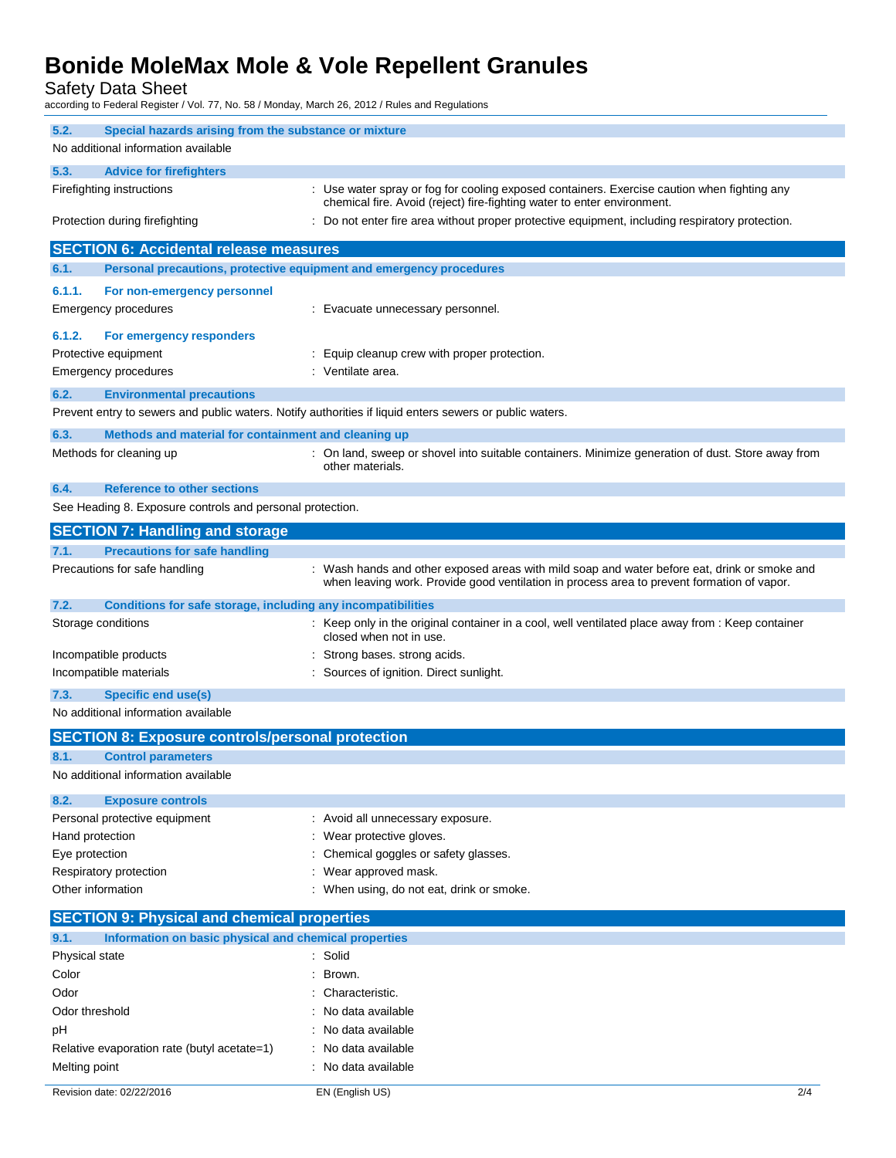Safety Data Sheet

according to Federal Register / Vol. 77, No. 58 / Monday, March 26, 2012 / Rules and Regulations

| 5.2.<br>Special hazards arising from the substance or mixture        |                                                                                                                                                                                            |  |
|----------------------------------------------------------------------|--------------------------------------------------------------------------------------------------------------------------------------------------------------------------------------------|--|
| No additional information available                                  |                                                                                                                                                                                            |  |
| 5.3.<br><b>Advice for firefighters</b>                               |                                                                                                                                                                                            |  |
| Firefighting instructions                                            | : Use water spray or fog for cooling exposed containers. Exercise caution when fighting any<br>chemical fire. Avoid (reject) fire-fighting water to enter environment.                     |  |
| Protection during firefighting                                       | : Do not enter fire area without proper protective equipment, including respiratory protection.                                                                                            |  |
| <b>SECTION 6: Accidental release measures</b>                        |                                                                                                                                                                                            |  |
| 6.1.                                                                 | Personal precautions, protective equipment and emergency procedures                                                                                                                        |  |
| 6.1.1.<br>For non-emergency personnel                                |                                                                                                                                                                                            |  |
| Emergency procedures                                                 | : Evacuate unnecessary personnel.                                                                                                                                                          |  |
|                                                                      |                                                                                                                                                                                            |  |
| 6.1.2.<br>For emergency responders                                   |                                                                                                                                                                                            |  |
| Protective equipment                                                 | Equip cleanup crew with proper protection.                                                                                                                                                 |  |
| <b>Emergency procedures</b>                                          | Ventilate area.                                                                                                                                                                            |  |
| 6.2.<br><b>Environmental precautions</b>                             |                                                                                                                                                                                            |  |
|                                                                      | Prevent entry to sewers and public waters. Notify authorities if liquid enters sewers or public waters.                                                                                    |  |
| 6.3.<br>Methods and material for containment and cleaning up         |                                                                                                                                                                                            |  |
| Methods for cleaning up                                              | : On land, sweep or shovel into suitable containers. Minimize generation of dust. Store away from                                                                                          |  |
|                                                                      | other materials.                                                                                                                                                                           |  |
| 6.4.<br><b>Reference to other sections</b>                           |                                                                                                                                                                                            |  |
| See Heading 8. Exposure controls and personal protection.            |                                                                                                                                                                                            |  |
| <b>SECTION 7: Handling and storage</b>                               |                                                                                                                                                                                            |  |
| 7.1.<br><b>Precautions for safe handling</b>                         |                                                                                                                                                                                            |  |
| Precautions for safe handling                                        | : Wash hands and other exposed areas with mild soap and water before eat, drink or smoke and<br>when leaving work. Provide good ventilation in process area to prevent formation of vapor. |  |
| 7.2.<br>Conditions for safe storage, including any incompatibilities |                                                                                                                                                                                            |  |
| Storage conditions                                                   | : Keep only in the original container in a cool, well ventilated place away from : Keep container<br>closed when not in use.                                                               |  |
| Incompatible products                                                | Strong bases. strong acids.                                                                                                                                                                |  |
| Incompatible materials                                               | Sources of ignition. Direct sunlight.                                                                                                                                                      |  |
| 7.3.<br><b>Specific end use(s)</b>                                   |                                                                                                                                                                                            |  |
| No additional information available                                  |                                                                                                                                                                                            |  |
| <b>SECTION 8: Exposure controls/personal protection</b>              |                                                                                                                                                                                            |  |
| <b>Control parameters</b><br>8.1.                                    |                                                                                                                                                                                            |  |
| No additional information available                                  |                                                                                                                                                                                            |  |
|                                                                      |                                                                                                                                                                                            |  |
| 8.2.<br><b>Exposure controls</b>                                     |                                                                                                                                                                                            |  |
| Personal protective equipment                                        | : Avoid all unnecessary exposure.                                                                                                                                                          |  |
| Hand protection                                                      | Wear protective gloves.                                                                                                                                                                    |  |
| Eye protection                                                       | Chemical goggles or safety glasses.                                                                                                                                                        |  |
| Respiratory protection<br>Other information                          | Wear approved mask.<br>When using, do not eat, drink or smoke.                                                                                                                             |  |
|                                                                      |                                                                                                                                                                                            |  |
| <b>SECTION 9: Physical and chemical properties</b>                   |                                                                                                                                                                                            |  |
| 9.1.<br>Information on basic physical and chemical properties        |                                                                                                                                                                                            |  |
| Physical state                                                       | Solid                                                                                                                                                                                      |  |
| Color                                                                | Brown.                                                                                                                                                                                     |  |
| Odor                                                                 | Characteristic.                                                                                                                                                                            |  |
| Odor threshold                                                       | No data available                                                                                                                                                                          |  |
| pH                                                                   | No data available                                                                                                                                                                          |  |
| Relative evaporation rate (butyl acetate=1)                          | No data available                                                                                                                                                                          |  |
| Melting point                                                        | : No data available                                                                                                                                                                        |  |
| Revision date: 02/22/2016                                            | EN (English US)<br>2/4                                                                                                                                                                     |  |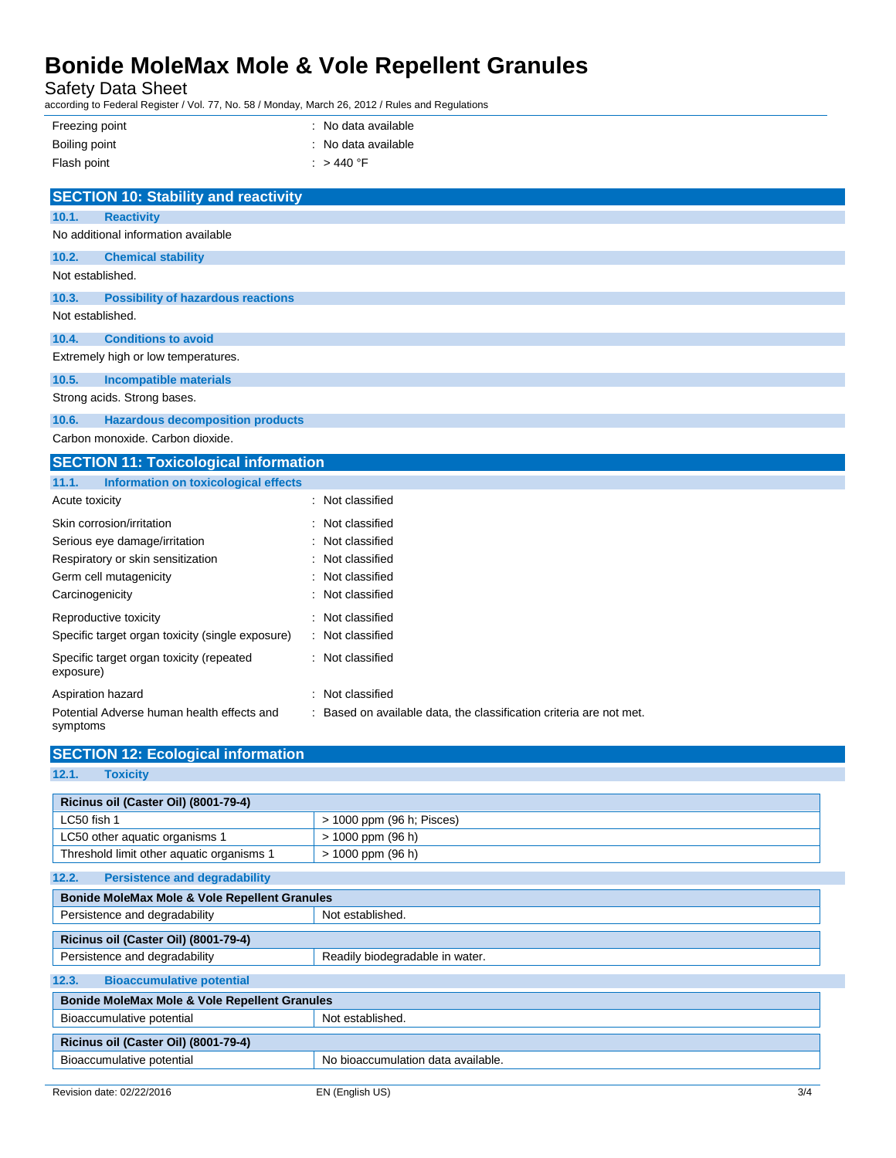Safety Data Sheet

according to Federal Register / Vol. 77, No. 58 / Monday, March 26, 2012 / Rules and Regulations

| Freezing point | : No data available |
|----------------|---------------------|
| Boiling point  | : No data available |
| Flash point    | : $>$ 440 °F        |

|                  | <b>SECTION 10: Stability and reactivity</b> |
|------------------|---------------------------------------------|
| 10.1.            | <b>Reactivity</b>                           |
|                  | No additional information available         |
| 10.2.            | <b>Chemical stability</b>                   |
| Not established. |                                             |
| 10.3.            | <b>Possibility of hazardous reactions</b>   |
| Not established. |                                             |
| 10.4.            | <b>Conditions to avoid</b>                  |
|                  | Extremely high or low temperatures.         |
| 10.5.            | <b>Incompatible materials</b>               |
|                  | Strong acids. Strong bases.                 |
| 10.6.            | <b>Hazardous decomposition products</b>     |
|                  | Carbon monoxide, Carbon dioxide.            |

| <b>SECTION 11: Toxicological information</b>           |                                                                     |  |
|--------------------------------------------------------|---------------------------------------------------------------------|--|
| Information on toxicological effects<br>11.1.          |                                                                     |  |
| Acute toxicity                                         | : Not classified                                                    |  |
| Skin corrosion/irritation                              | : Not classified                                                    |  |
| Serious eye damage/irritation                          | : Not classified                                                    |  |
| Respiratory or skin sensitization                      | : Not classified                                                    |  |
| Germ cell mutagenicity                                 | : Not classified                                                    |  |
| Carcinogenicity                                        | : Not classified                                                    |  |
| Reproductive toxicity                                  | : Not classified                                                    |  |
| Specific target organ toxicity (single exposure)       | : Not classified                                                    |  |
| Specific target organ toxicity (repeated<br>exposure)  | : Not classified                                                    |  |
| Aspiration hazard                                      | : Not classified                                                    |  |
| Potential Adverse human health effects and<br>symptoms | : Based on available data, the classification criteria are not met. |  |

| -,,,,,,,,,                                               |                                 |
|----------------------------------------------------------|---------------------------------|
| <b>SECTION 12: Ecological information</b>                |                                 |
| 12.1.<br><b>Toxicity</b>                                 |                                 |
|                                                          |                                 |
| Ricinus oil (Caster Oil) (8001-79-4)                     |                                 |
| LC50 fish 1                                              | $>$ 1000 ppm (96 h; Pisces)     |
| LC50 other aquatic organisms 1                           | $> 1000$ ppm (96 h)             |
| Threshold limit other aquatic organisms 1                | $> 1000$ ppm (96 h)             |
| 12.2.<br><b>Persistence and degradability</b>            |                                 |
|                                                          |                                 |
| <b>Bonide MoleMax Mole &amp; Vole Repellent Granules</b> |                                 |
| Persistence and degradability                            | Not established.                |
| Ricinus oil (Caster Oil) (8001-79-4)                     |                                 |
| Persistence and degradability                            | Readily biodegradable in water. |
| 12.3.<br><b>Bioaccumulative potential</b>                |                                 |
| <b>Bonido MoloMay Molo &amp; Volo Bonellont Grapules</b> |                                 |

| Bonide MoleMax Mole & Vole Repellent Granules |  |  |
|-----------------------------------------------|--|--|
| Not established.                              |  |  |
| Ricinus oil (Caster Oil) (8001-79-4)          |  |  |
| No bioaccumulation data available.            |  |  |
|                                               |  |  |